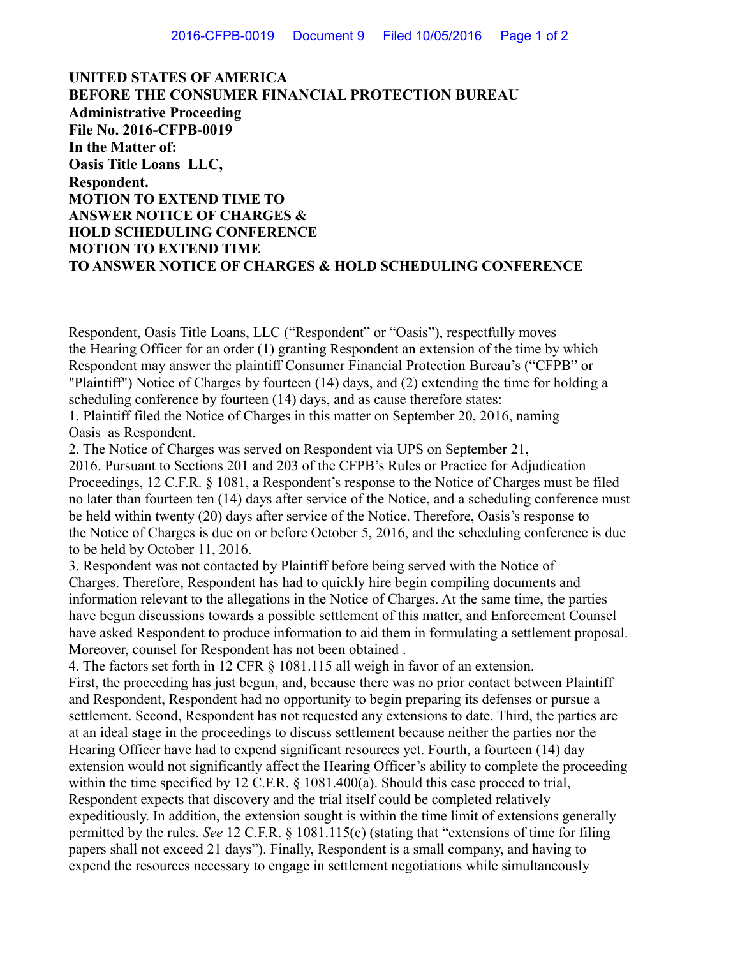**UNITED STATES OF AMERICA BEFORE THE CONSUMER FINANCIAL PROTECTION BUREAU Administrative Proceeding File No. 2016-CFPB-0019 In the Matter of: Oasis Title Loans LLC, Respondent. MOTION TO EXTEND TIME TO ANSWER NOTICE OF CHARGES & HOLD SCHEDULING CONFERENCE MOTION TO EXTEND TIME TO ANSWER NOTICE OF CHARGES & HOLD SCHEDULING CONFERENCE**

Respondent, Oasis Title Loans, LLC ("Respondent" or "Oasis"), respectfully moves the Hearing Officer for an order (1) granting Respondent an extension of the time by which Respondent may answer the plaintiff Consumer Financial Protection Bureau's ("CFPB" or "Plaintiff") Notice of Charges by fourteen (14) days, and (2) extending the time for holding a scheduling conference by fourteen (14) days, and as cause therefore states:

1. Plaintiff filed the Notice of Charges in this matter on September 20, 2016, naming Oasis as Respondent.

2. The Notice of Charges was served on Respondent via UPS on September 21,

2016. Pursuant to Sections 201 and 203 of the CFPB's Rules or Practice for Adjudication Proceedings, 12 C.F.R. § 1081, a Respondent's response to the Notice of Charges must be filed no later than fourteen ten (14) days after service of the Notice, and a scheduling conference must be held within twenty (20) days after service of the Notice. Therefore, Oasis's response to the Notice of Charges is due on or before October 5, 2016, and the scheduling conference is due to be held by October 11, 2016.

3. Respondent was not contacted by Plaintiff before being served with the Notice of Charges. Therefore, Respondent has had to quickly hire begin compiling documents and information relevant to the allegations in the Notice of Charges. At the same time, the parties have begun discussions towards a possible settlement of this matter, and Enforcement Counsel have asked Respondent to produce information to aid them in formulating a settlement proposal. Moreover, counsel for Respondent has not been obtained .

4. The factors set forth in 12 CFR § 1081.115 all weigh in favor of an extension. First, the proceeding has just begun, and, because there was no prior contact between Plaintiff and Respondent, Respondent had no opportunity to begin preparing its defenses or pursue a settlement. Second, Respondent has not requested any extensions to date. Third, the parties are at an ideal stage in the proceedings to discuss settlement because neither the parties nor the Hearing Officer have had to expend significant resources yet. Fourth, a fourteen (14) day extension would not significantly affect the Hearing Officer's ability to complete the proceeding within the time specified by 12 C.F.R. § 1081.400(a). Should this case proceed to trial, Respondent expects that discovery and the trial itself could be completed relatively expeditiously. In addition, the extension sought is within the time limit of extensions generally permitted by the rules. *See* 12 C.F.R. § 1081.115(c) (stating that "extensions of time for filing papers shall not exceed 21 days"). Finally, Respondent is a small company, and having to expend the resources necessary to engage in settlement negotiations while simultaneously